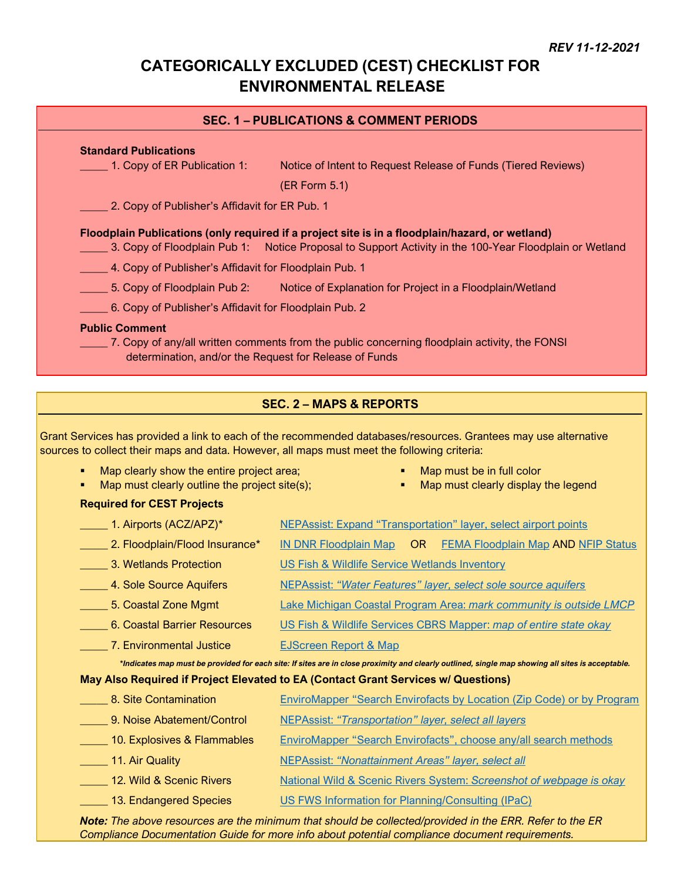# **CATEGORICALLY EXCLUDED (CEST) CHECKLIST FOR ENVIRONMENTAL RELEASE**

### **SEC. 1 – PUBLICATIONS & COMMENT PERIODS**

#### **Standard Publications**

\_\_\_\_\_ 1. Copy of ER Publication 1: Notice of Intent to Request Release of Funds (Tiered Reviews)

(ER Form 5.1)

**2. Copy of Publisher's Affidavit for ER Pub. 1** 

#### **Floodplain Publications (only required if a project site is in a floodplain/hazard, or wetland)**

- \_\_\_\_\_ 3. Copy of Floodplain Pub 1: Notice Proposal to Support Activity in the 100-Year Floodplain or Wetland
	- 4. Copy of Publisher's Affidavit for Floodplain Pub. 1
- 5. Copy of Floodplain Pub 2: Notice of Explanation for Project in a Floodplain/Wetland
- \_\_\_\_\_ 6. Copy of Publisher's Affidavit for Floodplain Pub. 2

#### **Public Comment**

\_\_\_\_\_ 7. Copy of any/all written comments from the public concerning floodplain activity, the FONSI determination, and/or the Request for Release of Funds

# **SEC. 2 – MAPS & REPORTS**

Grant Services has provided a link to each of the recommended databases/resources. Grantees may use alternative sources to collect their maps and data. However, all maps must meet the following criteria:

- Map clearly show the entire project area;
- Map must clearly outline the project site(s);
- Map must be in full color
- Map must clearly display the legend

#### **Required for CEST Projects**

| $\frac{1}{2}$ 1. Airports (ACZ/APZ)*                                                                                                             | <b>NEPAssist: Expand "Transportation" layer, select airport points</b>            |
|--------------------------------------------------------------------------------------------------------------------------------------------------|-----------------------------------------------------------------------------------|
| 2. Floodplain/Flood Insurance*                                                                                                                   | OR.<br><u>IN DNR Floodplain Map</u><br><b>FEMA Floodplain Map AND NFIP Status</b> |
| 3. Wetlands Protection                                                                                                                           | US Fish & Wildlife Service Wetlands Inventory                                     |
| 4. Sole Source Aquifers                                                                                                                          | <u>NEPAssist: "Water Features" layer, select sole source aquifers</u>             |
| 5. Coastal Zone Mgmt                                                                                                                             | Lake Michigan Coastal Program Area: mark community is outside LMCP                |
| 6. Coastal Barrier Resources                                                                                                                     | US Fish & Wildlife Services CBRS Mapper: map of entire state okay                 |
| 7. Environmental Justice                                                                                                                         | <b>EJScreen Report &amp; Map</b>                                                  |
| *Indicates map must be provided for each site: If sites are in close proximity and clearly outlined, single map showing all sites is acceptable. |                                                                                   |
| May Also Required if Project Elevated to EA (Contact Grant Services w/ Questions)                                                                |                                                                                   |
| 8. Site Contamination                                                                                                                            | <b>EnviroMapper "Search Envirofacts by Location (Zip Code) or by Program</b>      |
| 9. Noise Abatement/Control                                                                                                                       | <b>NEPAssist: "Transportation" layer, select all layers</b>                       |
| 10. Explosives & Flammables                                                                                                                      | EnviroMapper "Search Envirofacts", choose any/all search methods                  |
| 11. Air Quality                                                                                                                                  | <b>NEPAssist: "Nonattainment Areas" layer, select all</b>                         |
| 12. Wild & Scenic Rivers                                                                                                                         | National Wild & Scenic Rivers System: Screenshot of webpage is okay               |
| 13. Endangered Species                                                                                                                           | US FWS Information for Planning/Consulting (IPaC)                                 |

*Note: The above resources are the minimum that should be collected/provided in the ERR. Refer to the ER Compliance Documentation Guide for more info about potential compliance document requirements.*